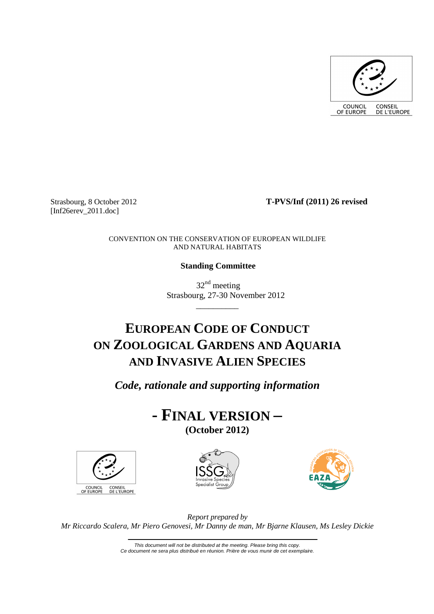

[Inf26erev\_2011.doc]

Strasbourg, 8 October 2012 **T-PVS/Inf (2011) 26 revised** 

CONVENTION ON THE CONSERVATION OF EUROPEAN WILDLIFE AND NATURAL HABITATS

**Standing Committee** 

\_\_\_\_\_\_\_\_\_\_

 $32<sup>nd</sup>$  meeting Strasbourg, 27-30 November 2012

# **EUROPEAN CODE OF CONDUCT ON ZOOLOGICAL GARDENS AND AQUARIA AND INVASIVE ALIEN SPECIES**

*Code, rationale and supporting information* 

**- FINAL VERSION –** 

**(October 2012)** 







*Report prepared by Mr Riccardo Scalera, Mr Piero Genovesi, Mr Danny de man, Mr Bjarne Klausen, Ms Lesley Dickie* 

This document will not be distributed at the meeting. Please bring this copy. Ce document ne sera plus distribué en réunion. Prière de vous munir de cet exemplaire.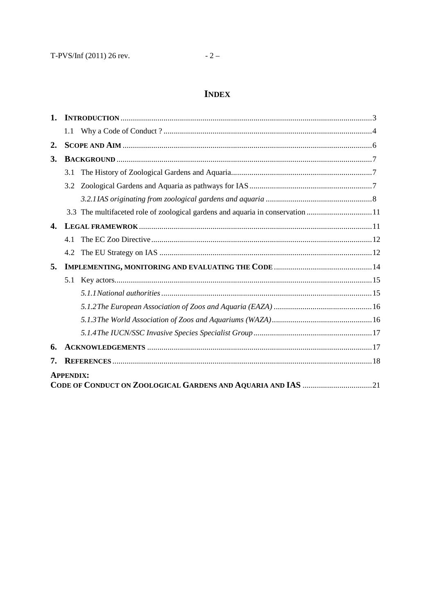# **INDEX**

| 1. |                                                                                |
|----|--------------------------------------------------------------------------------|
|    | 1.1                                                                            |
| 2. |                                                                                |
| 3. |                                                                                |
|    | 3.1                                                                            |
|    | 3.2                                                                            |
|    |                                                                                |
|    | 3.3 The multifaceted role of zoological gardens and aquaria in conservation 11 |
| 4. |                                                                                |
|    | 4.1                                                                            |
|    | 4.2                                                                            |
| 5. |                                                                                |
|    | 5.1                                                                            |
|    |                                                                                |
|    |                                                                                |
|    |                                                                                |
|    |                                                                                |
| 6. |                                                                                |
| 7. |                                                                                |
|    | <b>APPENDIX:</b>                                                               |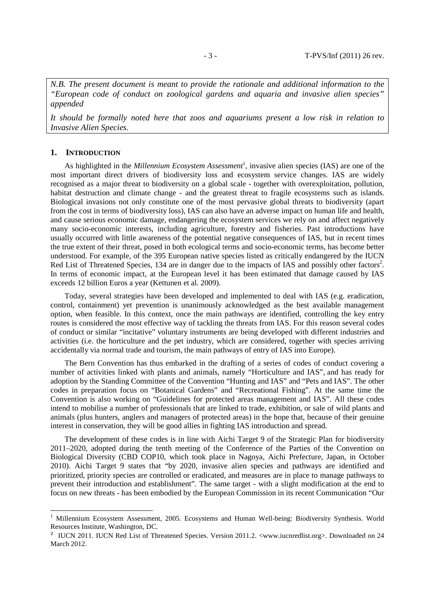*N.B. The present document is meant to provide the rationale and additional information to the "European code of conduct on zoological gardens and aquaria and invasive alien species" appended* 

*It should be formally noted here that zoos and aquariums present a low risk in relation to Invasive Alien Species.* 

#### **1. INTRODUCTION**

As highlighted in the *Millennium Ecosystem Assessment*<sup>1</sup>, invasive alien species (IAS) are one of the most important direct drivers of biodiversity loss and ecosystem service changes. IAS are widely recognised as a major threat to biodiversity on a global scale - together with overexploitation, pollution, habitat destruction and climate change - and the greatest threat to fragile ecosystems such as islands. Biological invasions not only constitute one of the most pervasive global threats to biodiversity (apart from the cost in terms of biodiversity loss), IAS can also have an adverse impact on human life and health, and cause serious economic damage, endangering the ecosystem services we rely on and affect negatively many socio-economic interests, including agriculture, forestry and fisheries. Past introductions have usually occurred with little awareness of the potential negative consequences of IAS, but in recent times the true extent of their threat, posed in both ecological terms and socio-economic terms, has become better understood. For example, of the 395 European native species listed as critically endangered by the IUCN Red List of Threatened Species, 134 are in danger due to the impacts of IAS and possibly other factors<sup>2</sup>. In terms of economic impact, at the European level it has been estimated that damage caused by IAS exceeds 12 billion Euros a year (Kettunen et al. 2009).

Today, several strategies have been developed and implemented to deal with IAS (e.g. eradication, control, containment) yet prevention is unanimously acknowledged as the best available management option, when feasible. In this context, once the main pathways are identified, controlling the key entry routes is considered the most effective way of tackling the threats from IAS. For this reason several codes of conduct or similar "incitative" voluntary instruments are being developed with different industries and activities (i.e. the horticulture and the pet industry, which are considered, together with species arriving accidentally via normal trade and tourism, the main pathways of entry of IAS into Europe).

The Bern Convention has thus embarked in the drafting of a series of codes of conduct covering a number of activities linked with plants and animals, namely "Horticulture and IAS", and has ready for adoption by the Standing Committee of the Convention "Hunting and IAS" and "Pets and IAS". The other codes in preparation focus on "Botanical Gardens" and "Recreational Fishing". At the same time the Convention is also working on "Guidelines for protected areas management and IAS". All these codes intend to mobilise a number of professionals that are linked to trade, exhibition, or sale of wild plants and animals (plus hunters, anglers and managers of protected areas) in the hope that, because of their genuine interest in conservation, they will be good allies in fighting IAS introduction and spread.

The development of these codes is in line with Aichi Target 9 of the Strategic Plan for biodiversity 2011–2020, adopted during the tenth meeting of the Conference of the Parties of the Convention on Biological Diversity (CBD COP10, which took place in Nagoya, Aichi Prefecture, Japan, in October 2010). Aichi Target 9 states that "by 2020, invasive alien species and pathways are identified and prioritized, priority species are controlled or eradicated, and measures are in place to manage pathways to prevent their introduction and establishment". The same target - with a slight modification at the end to focus on new threats - has been embodied by the European Commission in its recent Communication "Our

 1 Millennium Ecosystem Assessment, 2005. Ecosystems and Human Well-being: Biodiversity Synthesis. World Resources Institute, Washington, DC.

<sup>&</sup>lt;sup>2</sup> IUCN 2011. IUCN Red List of Threatened Species. Version 2011.2. <www.iucnredlist.org>. Downloaded on 24 March 2012.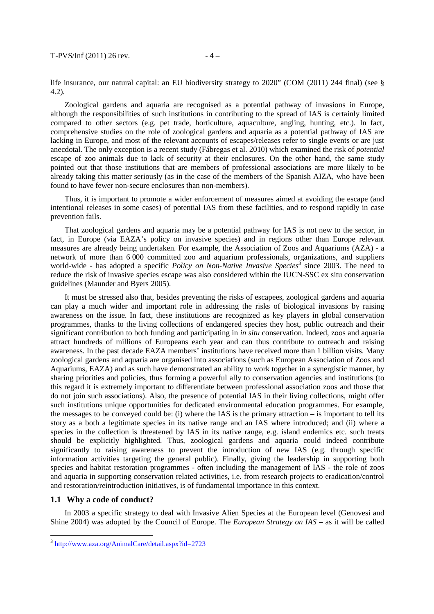life insurance, our natural capital: an EU biodiversity strategy to 2020" (COM (2011) 244 final) (see § 4.2).

Zoological gardens and aquaria are recognised as a potential pathway of invasions in Europe, although the responsibilities of such institutions in contributing to the spread of IAS is certainly limited compared to other sectors (e.g. pet trade, horticulture, aquaculture, angling, hunting, etc.). In fact, comprehensive studies on the role of zoological gardens and aquaria as a potential pathway of IAS are lacking in Europe, and most of the relevant accounts of escapes/releases refer to single events or are just anecdotal. The only exception is a recent study (Fábregas et al. 2010) which examined the risk of *potential* escape of zoo animals due to lack of security at their enclosures. On the other hand, the same study pointed out that those institutions that are members of professional associations are more likely to be already taking this matter seriously (as in the case of the members of the Spanish AIZA, who have been found to have fewer non-secure enclosures than non-members).

Thus, it is important to promote a wider enforcement of measures aimed at avoiding the escape (and intentional releases in some cases) of potential IAS from these facilities, and to respond rapidly in case prevention fails.

That zoological gardens and aquaria may be a potential pathway for IAS is not new to the sector, in fact, in Europe (via EAZA's policy on invasive species) and in regions other than Europe relevant measures are already being undertaken. For example, the Association of Zoos and Aquariums (AZA) - a network of more than 6 000 committed zoo and aquarium professionals, organizations, and suppliers world-wide - has adopted a specific *Policy on Non-Native Invasive Species*<sup>3</sup> since 2003. The need to reduce the risk of invasive species escape was also considered within the IUCN-SSC ex situ conservation guidelines (Maunder and Byers 2005).

It must be stressed also that, besides preventing the risks of escapees, zoological gardens and aquaria can play a much wider and important role in addressing the risks of biological invasions by raising awareness on the issue. In fact, these institutions are recognized as key players in global conservation programmes, thanks to the living collections of endangered species they host, public outreach and their significant contribution to both funding and participating in *in situ* conservation. Indeed, zoos and aquaria attract hundreds of millions of Europeans each year and can thus contribute to outreach and raising awareness. In the past decade EAZA members' institutions have received more than 1 billion visits. Many zoological gardens and aquaria are organised into associations (such as European Association of Zoos and Aquariums, EAZA) and as such have demonstrated an ability to work together in a synergistic manner, by sharing priorities and policies, thus forming a powerful ally to conservation agencies and institutions (to this regard it is extremely important to differentiate between professional association zoos and those that do not join such associations). Also, the presence of potential IAS in their living collections, might offer such institutions unique opportunities for dedicated environmental education programmes. For example, the messages to be conveyed could be: (i) where the IAS is the primary attraction – is important to tell its story as a both a legitimate species in its native range and an IAS where introduced; and (ii) where a species in the collection is threatened by IAS in its native range, e.g. island endemics etc. such treats should be explicitly highlighted. Thus, zoological gardens and aquaria could indeed contribute significantly to raising awareness to prevent the introduction of new IAS (e.g. through specific information activities targeting the general public). Finally, giving the leadership in supporting both species and habitat restoration programmes - often including the management of IAS - the role of zoos and aquaria in supporting conservation related activities, i.e. from research projects to eradication/control and restoration/reintroduction initiatives, is of fundamental importance in this context.

### **1.1 Why a code of conduct?**

In 2003 a specific strategy to deal with Invasive Alien Species at the European level (Genovesi and Shine 2004) was adopted by the Council of Europe. The *European Strategy on IAS* – as it will be called

<sup>-&</sup>lt;br><sup>3</sup> http://www.aza.org/AnimalCare/detail.aspx?id=2723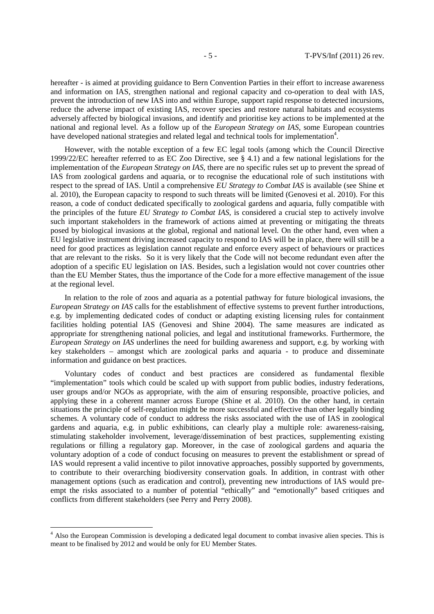hereafter - is aimed at providing guidance to Bern Convention Parties in their effort to increase awareness and information on IAS, strengthen national and regional capacity and co-operation to deal with IAS, prevent the introduction of new IAS into and within Europe, support rapid response to detected incursions, reduce the adverse impact of existing IAS, recover species and restore natural habitats and ecosystems adversely affected by biological invasions, and identify and prioritise key actions to be implemented at the national and regional level. As a follow up of the *European Strategy on IAS*, some European countries have developed national strategies and related legal and technical tools for implementation<sup>4</sup>.

However, with the notable exception of a few EC legal tools (among which the Council Directive 1999/22/EC hereafter referred to as EC Zoo Directive, see § 4.1) and a few national legislations for the implementation of the *European Strategy on IAS*, there are no specific rules set up to prevent the spread of IAS from zoological gardens and aquaria, or to recognise the educational role of such institutions with respect to the spread of IAS. Until a comprehensive *EU Strategy to Combat IAS* is available (see Shine et al. 2010), the European capacity to respond to such threats will be limited (Genovesi et al. 2010). For this reason, a code of conduct dedicated specifically to zoological gardens and aquaria, fully compatible with the principles of the future *EU Strategy to Combat IAS*, is considered a crucial step to actively involve such important stakeholders in the framework of actions aimed at preventing or mitigating the threats posed by biological invasions at the global, regional and national level. On the other hand, even when a EU legislative instrument driving increased capacity to respond to IAS will be in place, there will still be a need for good practices as legislation cannot regulate and enforce every aspect of behaviours or practices that are relevant to the risks. So it is very likely that the Code will not become redundant even after the adoption of a specific EU legislation on IAS. Besides, such a legislation would not cover countries other than the EU Member States, thus the importance of the Code for a more effective management of the issue at the regional level.

In relation to the role of zoos and aquaria as a potential pathway for future biological invasions, the *European Strategy on IAS* calls for the establishment of effective systems to prevent further introductions, e.g. by implementing dedicated codes of conduct or adapting existing licensing rules for containment facilities holding potential IAS (Genovesi and Shine 2004). The same measures are indicated as appropriate for strengthening national policies, and legal and institutional frameworks. Furthermore, the *European Strategy on IAS* underlines the need for building awareness and support, e.g. by working with key stakeholders – amongst which are zoological parks and aquaria - to produce and disseminate information and guidance on best practices.

Voluntary codes of conduct and best practices are considered as fundamental flexible "implementation" tools which could be scaled up with support from public bodies, industry federations, user groups and/or NGOs as appropriate, with the aim of ensuring responsible, proactive policies, and applying these in a coherent manner across Europe (Shine et al. 2010). On the other hand, in certain situations the principle of self-regulation might be more successful and effective than other legally binding schemes. A voluntary code of conduct to address the risks associated with the use of IAS in zoological gardens and aquaria, e.g. in public exhibitions, can clearly play a multiple role: awareness-raising, stimulating stakeholder involvement, leverage/dissemination of best practices, supplementing existing regulations or filling a regulatory gap. Moreover, in the case of zoological gardens and aquaria the voluntary adoption of a code of conduct focusing on measures to prevent the establishment or spread of IAS would represent a valid incentive to pilot innovative approaches, possibly supported by governments, to contribute to their overarching biodiversity conservation goals. In addition, in contrast with other management options (such as eradication and control), preventing new introductions of IAS would preempt the risks associated to a number of potential "ethically" and "emotionally" based critiques and conflicts from different stakeholders (see Perry and Perry 2008).

<sup>&</sup>lt;sup>4</sup> Also the European Commission is developing a dedicated legal document to combat invasive alien species. This is meant to be finalised by 2012 and would be only for EU Member States.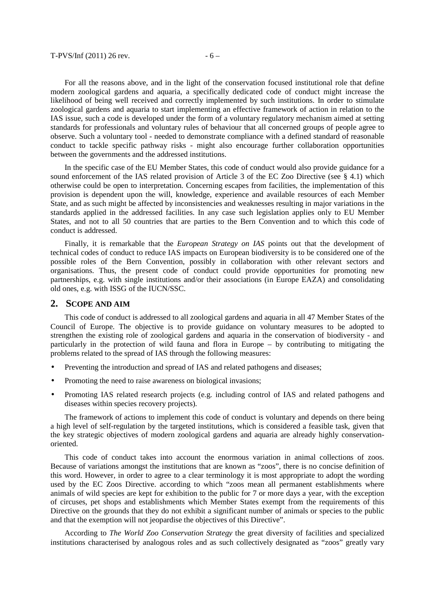For all the reasons above, and in the light of the conservation focused institutional role that define modern zoological gardens and aquaria, a specifically dedicated code of conduct might increase the likelihood of being well received and correctly implemented by such institutions. In order to stimulate zoological gardens and aquaria to start implementing an effective framework of action in relation to the IAS issue, such a code is developed under the form of a voluntary regulatory mechanism aimed at setting standards for professionals and voluntary rules of behaviour that all concerned groups of people agree to observe. Such a voluntary tool - needed to demonstrate compliance with a defined standard of reasonable conduct to tackle specific pathway risks - might also encourage further collaboration opportunities between the governments and the addressed institutions.

In the specific case of the EU Member States, this code of conduct would also provide guidance for a sound enforcement of the IAS related provision of Article 3 of the EC Zoo Directive (see § 4.1) which otherwise could be open to interpretation. Concerning escapes from facilities, the implementation of this provision is dependent upon the will, knowledge, experience and available resources of each Member State, and as such might be affected by inconsistencies and weaknesses resulting in major variations in the standards applied in the addressed facilities. In any case such legislation applies only to EU Member States, and not to all 50 countries that are parties to the Bern Convention and to which this code of conduct is addressed.

Finally, it is remarkable that the *European Strategy on IAS* points out that the development of technical codes of conduct to reduce IAS impacts on European biodiversity is to be considered one of the possible roles of the Bern Convention, possibly in collaboration with other relevant sectors and organisations. Thus, the present code of conduct could provide opportunities for promoting new partnerships, e.g. with single institutions and/or their associations (in Europe EAZA) and consolidating old ones, e.g. with ISSG of the IUCN/SSC.

#### **2. SCOPE AND AIM**

This code of conduct is addressed to all zoological gardens and aquaria in all 47 Member States of the Council of Europe. The objective is to provide guidance on voluntary measures to be adopted to strengthen the existing role of zoological gardens and aquaria in the conservation of biodiversity - and particularly in the protection of wild fauna and flora in Europe – by contributing to mitigating the problems related to the spread of IAS through the following measures:

- Preventing the introduction and spread of IAS and related pathogens and diseases;
- Promoting the need to raise awareness on biological invasions;
- Promoting IAS related research projects (e.g. including control of IAS and related pathogens and diseases within species recovery projects).

The framework of actions to implement this code of conduct is voluntary and depends on there being a high level of self-regulation by the targeted institutions, which is considered a feasible task, given that the key strategic objectives of modern zoological gardens and aquaria are already highly conservationoriented.

This code of conduct takes into account the enormous variation in animal collections of zoos. Because of variations amongst the institutions that are known as "zoos", there is no concise definition of this word. However, in order to agree to a clear terminology it is most appropriate to adopt the wording used by the EC Zoos Directive. according to which "zoos mean all permanent establishments where animals of wild species are kept for exhibition to the public for 7 or more days a year, with the exception of circuses, pet shops and establishments which Member States exempt from the requirements of this Directive on the grounds that they do not exhibit a significant number of animals or species to the public and that the exemption will not jeopardise the objectives of this Directive".

According to *The World Zoo Conservation Strategy* the great diversity of facilities and specialized institutions characterised by analogous roles and as such collectively designated as "zoos" greatly vary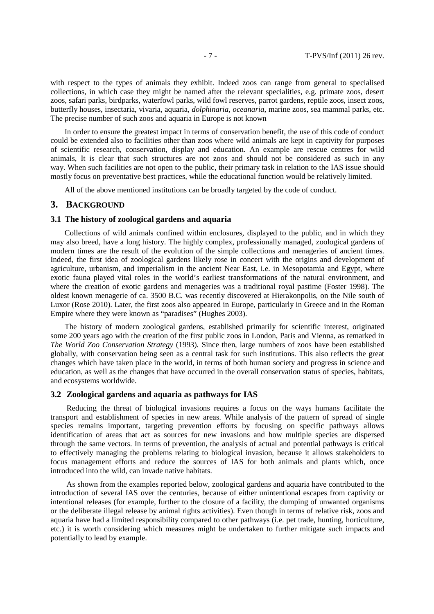with respect to the types of animals they exhibit. Indeed zoos can range from general to specialised collections, in which case they might be named after the relevant specialities, e.g. primate zoos, desert zoos, safari parks, birdparks, waterfowl parks, wild fowl reserves, parrot gardens, reptile zoos, insect zoos, butterfly houses, insectaria, vivaria, aquaria, *dolphinaria*, *oceanaria*, marine zoos, sea mammal parks, etc. The precise number of such zoos and aquaria in Europe is not known

In order to ensure the greatest impact in terms of conservation benefit, the use of this code of conduct could be extended also to facilities other than zoos where wild animals are kept in captivity for purposes of scientific research, conservation, display and education. An example are rescue centres for wild animals, It is clear that such structures are not zoos and should not be considered as such in any way. When such facilities are not open to the public, their primary task in relation to the IAS issue should mostly focus on preventative best practices, while the educational function would be relatively limited.

All of the above mentioned institutions can be broadly targeted by the code of conduct.

# **3. BACKGROUND**

### **3.1 The history of zoological gardens and aquaria**

Collections of wild animals confined within enclosures, displayed to the public, and in which they may also breed, have a long history. The highly complex, professionally managed, zoological gardens of modern times are the result of the evolution of the simple collections and menageries of ancient times. Indeed, the first idea of zoological gardens likely rose in concert with the origins and development of agriculture, urbanism, and imperialism in the ancient Near East, i.e. in Mesopotamia and Egypt, where exotic fauna played vital roles in the world's earliest transformations of the natural environment, and where the creation of exotic gardens and menageries was a traditional royal pastime (Foster 1998). The oldest known menagerie of ca. 3500 B.C. was recently discovered at Hierakonpolis, on the Nile south of Luxor (Rose 2010). Later, the first zoos also appeared in Europe, particularly in Greece and in the Roman Empire where they were known as "paradises" (Hughes 2003).

The history of modern zoological gardens, established primarily for scientific interest, originated some 200 years ago with the creation of the first public zoos in London, Paris and Vienna, as remarked in *The World Zoo Conservation Strategy* (1993). Since then, large numbers of zoos have been established globally, with conservation being seen as a central task for such institutions. This also reflects the great changes which have taken place in the world, in terms of both human society and progress in science and education, as well as the changes that have occurred in the overall conservation status of species, habitats, and ecosystems worldwide.

#### **3.2 Zoological gardens and aquaria as pathways for IAS**

Reducing the threat of biological invasions requires a focus on the ways humans facilitate the transport and establishment of species in new areas. While analysis of the pattern of spread of single species remains important, targeting prevention efforts by focusing on specific pathways allows identification of areas that act as sources for new invasions and how multiple species are dispersed through the same vectors. In terms of prevention, the analysis of actual and potential pathways is critical to effectively managing the problems relating to biological invasion, because it allows stakeholders to focus management efforts and reduce the sources of IAS for both animals and plants which, once introduced into the wild, can invade native habitats.

As shown from the examples reported below, zoological gardens and aquaria have contributed to the introduction of several IAS over the centuries, because of either unintentional escapes from captivity or intentional releases (for example, further to the closure of a facility, the dumping of unwanted organisms or the deliberate illegal release by animal rights activities). Even though in terms of relative risk, zoos and aquaria have had a limited responsibility compared to other pathways (i.e. pet trade, hunting, horticulture, etc.) it is worth considering which measures might be undertaken to further mitigate such impacts and potentially to lead by example.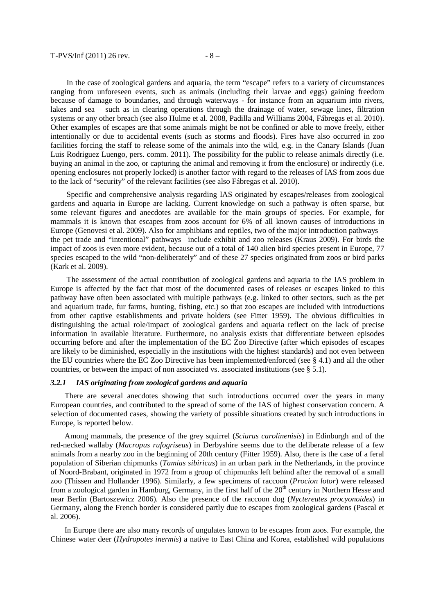In the case of zoological gardens and aquaria, the term "escape" refers to a variety of circumstances ranging from unforeseen events, such as animals (including their larvae and eggs) gaining freedom because of damage to boundaries, and through waterways - for instance from an aquarium into rivers, lakes and sea – such as in clearing operations through the drainage of water, sewage lines, filtration systems or any other breach (see also Hulme et al. 2008, Padilla and Williams 2004, Fábregas et al. 2010). Other examples of escapes are that some animals might be not be confined or able to move freely, either intentionally or due to accidental events (such as storms and floods). Fires have also occurred in zoo facilities forcing the staff to release some of the animals into the wild, e.g. in the Canary Islands (Juan Luis Rodriguez Luengo, pers. comm. 2011). The possibility for the public to release animals directly (i.e. buying an animal in the zoo, or capturing the animal and removing it from the enclosure) or indirectly (i.e. opening enclosures not properly locked) is another factor with regard to the releases of IAS from zoos due to the lack of "security" of the relevant facilities (see also Fábregas et al. 2010).

Specific and comprehensive analysis regarding IAS originated by escapes/releases from zoological gardens and aquaria in Europe are lacking. Current knowledge on such a pathway is often sparse, but some relevant figures and anecdotes are available for the main groups of species. For example, for mammals it is known that escapes from zoos account for 6% of all known causes of introductions in Europe (Genovesi et al. 2009). Also for amphibians and reptiles, two of the major introduction pathways – the pet trade and "intentional" pathways –include exhibit and zoo releases (Kraus 2009). For birds the impact of zoos is even more evident, because out of a total of 140 alien bird species present in Europe, 77 species escaped to the wild "non-deliberately" and of these 27 species originated from zoos or bird parks (Kark et al. 2009).

The assessment of the actual contribution of zoological gardens and aquaria to the IAS problem in Europe is affected by the fact that most of the documented cases of releases or escapes linked to this pathway have often been associated with multiple pathways (e.g. linked to other sectors, such as the pet and aquarium trade, fur farms, hunting, fishing, etc.) so that zoo escapes are included with introductions from other captive establishments and private holders (see Fitter 1959). The obvious difficulties in distinguishing the actual role/impact of zoological gardens and aquaria reflect on the lack of precise information in available literature. Furthermore, no analysis exists that differentiate between episodes occurring before and after the implementation of the EC Zoo Directive (after which episodes of escapes are likely to be diminished, especially in the institutions with the highest standards) and not even between the EU countries where the EC Zoo Directive has been implemented/enforced (see § 4.1) and all the other countries, or between the impact of non associated vs. associated institutions (see § 5.1).

#### *3.2.1 IAS originating from zoological gardens and aquaria*

There are several anecdotes showing that such introductions occurred over the years in many European countries, and contributed to the spread of some of the IAS of highest conservation concern. A selection of documented cases, showing the variety of possible situations created by such introductions in Europe, is reported below.

Among mammals, the presence of the grey squirrel (*Sciurus carolinenisis*) in Edinburgh and of the red-necked wallaby (*Macropus rufogriseus*) in Derbyshire seems due to the deliberate release of a few animals from a nearby zoo in the beginning of 20th century (Fitter 1959). Also, there is the case of a feral population of Siberian chipmunks (*Tamias sibiricus*) in an urban park in the Netherlands, in the province of Noord-Brabant, originated in 1972 from a group of chipmunks left behind after the removal of a small zoo (Thissen and Hollander 1996). Similarly, a few specimens of raccoon (*Procion lotor*) were released from a zoological garden in Hamburg, Germany, in the first half of the 20<sup>th</sup> century in Northern Hesse and near Berlin (Bartoszewicz 2006). Also the presence of the raccoon dog (*Nyctereutes procyonoides*) in Germany, along the French border is considered partly due to escapes from zoological gardens (Pascal et al. 2006).

In Europe there are also many records of ungulates known to be escapes from zoos. For example, the Chinese water deer (*Hydropotes inermis*) a native to East China and Korea, established wild populations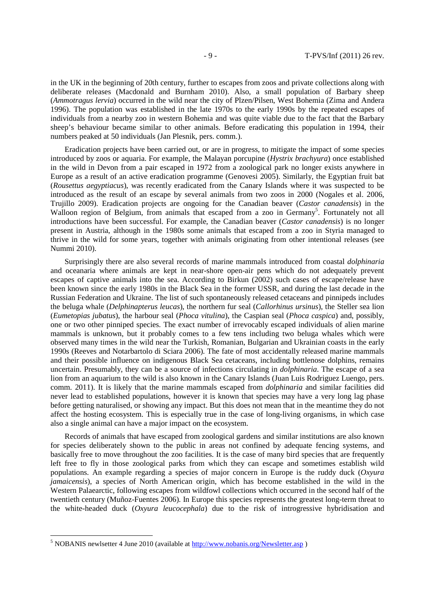in the UK in the beginning of 20th century, further to escapes from zoos and private collections along with deliberate releases (Macdonald and Burnham 2010). Also, a small population of Barbary sheep (*Ammotragus lervia*) occurred in the wild near the city of Plzen/Pilsen, West Bohemia (Zima and Andera 1996). The population was established in the late 1970s to the early 1990s by the repeated escapes of individuals from a nearby zoo in western Bohemia and was quite viable due to the fact that the Barbary sheep's behaviour became similar to other animals. Before eradicating this population in 1994, their numbers peaked at 50 individuals (Jan Plesnik, pers. comm.).

Eradication projects have been carried out, or are in progress, to mitigate the impact of some species introduced by zoos or aquaria. For example, the Malayan porcupine (*Hystrix brachyura*) once established in the wild in Devon from a pair escaped in 1972 from a zoological park no longer exists anywhere in Europe as a result of an active eradication programme (Genovesi 2005). Similarly, the Egyptian fruit bat (*Rousettus aegyptiacus*), was recently eradicated from the Canary Islands where it was suspected to be introduced as the result of an escape by several animals from two zoos in 2000 (Nogales et al. 2006, Trujillo 2009). Eradication projects are ongoing for the Canadian beaver (*Castor canadensis*) in the Walloon region of Belgium, from animals that escaped from a zoo in Germany<sup>5</sup>. Fortunately not all introductions have been successful. For example, the Canadian beaver (*Castor canadensis*) is no longer present in Austria, although in the 1980s some animals that escaped from a zoo in Styria managed to thrive in the wild for some years, together with animals originating from other intentional releases (see Nummi 2010).

Surprisingly there are also several records of marine mammals introduced from coastal *dolphinaria* and oceanaria where animals are kept in near-shore open-air pens which do not adequately prevent escapes of captive animals into the sea. According to Birkun (2002) such cases of escape/release have been known since the early 1980s in the Black Sea in the former USSR, and during the last decade in the Russian Federation and Ukraine. The list of such spontaneously released cetaceans and pinnipeds includes the beluga whale (*Delphinapterus leucas*), the northern fur seal (*Callorhinus ursinus*), the Steller sea lion (*Eumetopias jubatus*), the harbour seal (*Phoca vitulina*), the Caspian seal (*Phoca caspica*) and, possibly, one or two other pinniped species. The exact number of irrevocably escaped individuals of alien marine mammals is unknown, but it probably comes to а few tens including two beluga whales which were observed many times in the wild near the Turkish, Romanian, Bulgarian and Ukrainian coasts in the early 1990s (Reeves and Notarbartolo di Sciara 2006). The fate of most accidentally released marine mammals and their possible influence on indigenous Black Sea cetaceans, including bottlenose dolphins, remains uncertain. Presumably, they can be a source of infections circulating in *dolphinaria*. The escape of a sea lion from an aquarium to the wild is also known in the Canary Islands (Juan Luis Rodriguez Luengo, pers. comm. 2011). It is likely that the marine mammals escaped from *dolphinaria* and similar facilities did never lead to established populations, however it is known that species may have a very long lag phase before getting naturalised, or showing any impact. But this does not mean that in the meantime they do not affect the hosting ecosystem. This is especially true in the case of long-living organisms, in which case also a single animal can have a major impact on the ecosystem.

Records of animals that have escaped from zoological gardens and similar institutions are also known for species deliberately shown to the public in areas not confined by adequate fencing systems, and basically free to move throughout the zoo facilities. It is the case of many bird species that are frequently left free to fly in those zoological parks from which they can escape and sometimes establish wild populations. An example regarding a species of major concern in Europe is the ruddy duck (*Oxyura jamaicensis*), a species of North American origin, which has become established in the wild in the Western Palaearctic, following escapes from wildfowl collections which occurred in the second half of the twentieth century (Muñoz-Fuentes 2006). In Europe this species represents the greatest long-term threat to the white-headed duck (*Oxyura leucocephala*) due to the risk of introgressive hybridisation and

-

<sup>&</sup>lt;sup>5</sup> NOBANIS newlsetter 4 June 2010 (available at http://www.nobanis.org/Newsletter.asp)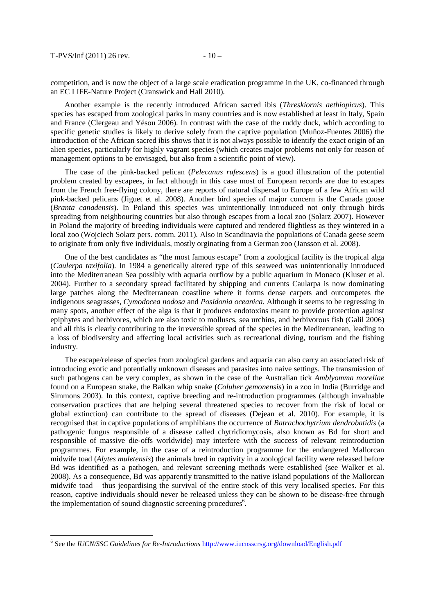-

competition, and is now the object of a large scale eradication programme in the UK, co-financed through an EC LIFE-Nature Project (Cranswick and Hall 2010).

Another example is the recently introduced African sacred ibis (*Threskiornis aethiopicus*). This species has escaped from zoological parks in many countries and is now established at least in Italy, Spain and France (Clergeau and Yésou 2006). In contrast with the case of the ruddy duck, which according to specific genetic studies is likely to derive solely from the captive population (Muñoz-Fuentes 2006) the introduction of the African sacred ibis shows that it is not always possible to identify the exact origin of an alien species, particularly for highly vagrant species (which creates major problems not only for reason of management options to be envisaged, but also from a scientific point of view).

The case of the pink-backed pelican (*Pelecanus rufescens*) is a good illustration of the potential problem created by escapees, in fact although in this case most of European records are due to escapes from the French free-flying colony, there are reports of natural dispersal to Europe of a few African wild pink-backed pelicans (Jiguet et al. 2008). Another bird species of major concern is the Canada goose (*Branta canadensis*). In Poland this species was unintentionally introduced not only through birds spreading from neighbouring countries but also through escapes from a local zoo (Solarz 2007). However in Poland the majority of breeding individuals were captured and rendered flightless as they wintered in a local zoo (Wojciech Solarz pers. comm. 2011)*.* Also in Scandinavia the populations of Canada geese seem to originate from only five individuals, mostly orginating from a German zoo (Jansson et al. 2008).

One of the best candidates as "the most famous escape" from a zoological facility is the tropical alga (*Caulerpa taxifolia*). In 1984 a genetically altered type of this seaweed was unintentionally introduced into the Mediterranean Sea possibly with aquaria outflow by a public aquarium in Monaco (Kluser et al. 2004). Further to a secondary spread facilitated by shipping and currents Caularpa is now dominating large patches along the Mediterranean coastline where it forms dense carpets and outcompetes the indigenous seagrasses, *Cymodocea nodosa* and *Posidonia oceanica*. Although it seems to be regressing in many spots, another effect of the alga is that it produces endotoxins meant to provide protection against epiphytes and herbivores, which are also toxic to molluscs, sea urchins, and herbivorous fish (Galil 2006) and all this is clearly contributing to the irreversible spread of the species in the Mediterranean, leading to a loss of biodiversity and affecting local activities such as recreational diving, tourism and the fishing industry.

The escape/release of species from zoological gardens and aquaria can also carry an associated risk of introducing exotic and potentially unknown diseases and parasites into naive settings. The transmission of such pathogens can be very complex, as shown in the case of the Australian tick *Amblyomma moreliae*  found on a European snake, the Balkan whip snake (*Coluber gemonensis*) in a zoo in India (Burridge and Simmons 2003). In this context, captive breeding and re-introduction programmes (although invaluable conservation practices that are helping several threatened species to recover from the risk of local or global extinction) can contribute to the spread of diseases (Dejean et al. 2010). For example, it is recognised that in captive populations of amphibians the occurrence of *Batrachochytrium dendrobatidis* (a pathogenic fungus responsible of a disease called chytridiomycosis, also known as Bd for short and responsible of massive die-offs worldwide) may interfere with the success of relevant reintroduction programmes. For example, in the case of a reintroduction programme for the endangered Mallorcan midwife toad (*Alytes muletensis*) the animals bred in captivity in a zoological facility were released before Bd was identified as a pathogen, and relevant screening methods were established (see Walker et al. 2008). As a consequence, Bd was apparently transmitted to the native island populations of the Mallorcan midwife toad – thus jeopardising the survival of the entire stock of this very localised species. For this reason, captive individuals should never be released unless they can be shown to be disease-free through the implementation of sound diagnostic screening procedures<sup>6</sup>.

<sup>&</sup>lt;sup>6</sup> See the *IUCN/SSC Guidelines for Re-Introductions* http://www.iucnsscrsg.org/download/English.pdf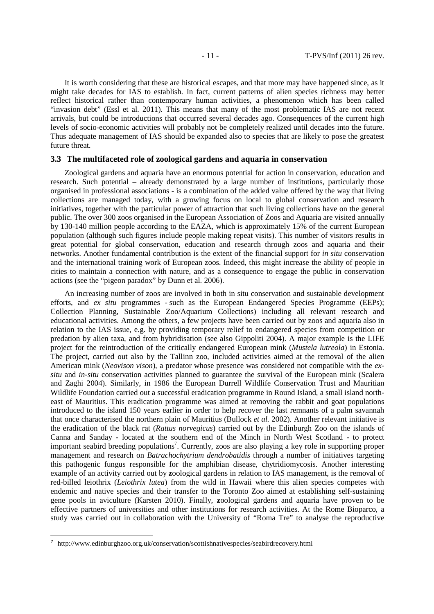It is worth considering that these are historical escapes, and that more may have happened since, as it might take decades for IAS to establish. In fact, current patterns of alien species richness may better reflect historical rather than contemporary human activities, a phenomenon which has been called "invasion debt" (Essl et al. 2011). This means that many of the most problematic IAS are not recent arrivals, but could be introductions that occurred several decades ago. Consequences of the current high levels of socio-economic activities will probably not be completely realized until decades into the future. Thus adequate management of IAS should be expanded also to species that are likely to pose the greatest future threat.

#### **3.3 The multifaceted role of zoological gardens and aquaria in conservation**

Zoological gardens and aquaria have an enormous potential for action in conservation, education and research. Such potential – already demonstrated by a large number of institutions, particularly those organised in professional associations - is a combination of the added value offered by the way that living collections are managed today, with a growing focus on local to global conservation and research initiatives, together with the particular power of attraction that such living collections have on the general public. The over 300 zoos organised in the European Association of Zoos and Aquaria are visited annually by 130-140 million people according to the EAZA, which is approximately 15% of the current European population (although such figures include people making repeat visits). This number of visitors results in great potential for global conservation, education and research through zoos and aquaria and their networks. Another fundamental contribution is the extent of the financial support for *in situ* conservation and the international training work of European zoos. Indeed, this might increase the ability of people in cities to maintain a connection with nature, and as a consequence to engage the public in conservation actions (see the "pigeon paradox" by Dunn et al. 2006).

An increasing number of zoos are involved in both in situ conservation and sustainable development efforts, and *ex situ* programmes - such as the European Endangered Species Programme (EEPs); Collection Planning, Sustainable Zoo/Aquarium Collections) including all relevant research and educational activities. Among the others, a few projects have been carried out by zoos and aquaria also in relation to the IAS issue, e.g. by providing temporary relief to endangered species from competition or predation by alien taxa, and from hybridisation (see also Gippoliti 2004). A major example is the LIFE project for the reintroduction of the critically endangered European mink (*Mustela lutreola*) in Estonia. The project, carried out also by the Tallinn zoo, included activities aimed at the removal of the alien American mink (*Neovison vison*), a predator whose presence was considered not compatible with the *exsitu* and *in-situ* conservation activities planned to guarantee the survival of the European mink (Scalera and Zaghi 2004). Similarly, in 1986 the European Durrell Wildlife Conservation Trust and Mauritian Wildlife Foundation carried out a successful eradication programme in Round Island, a small island northeast of Mauritius. This eradication programme was aimed at removing the rabbit and goat populations introduced to the island 150 years earlier in order to help recover the last remnants of a palm savannah that once characterised the northern plain of Mauritius (Bullock *et al.* 2002). Another relevant initiative is the eradication of the black rat (*Rattus norvegicus*) carried out by the Edinburgh Zoo on the islands of Canna and Sanday **-** located at the southern end of the Minch in North West Scotland **-** to protect important seabird breeding populations<sup>7</sup>. Currently, zoos are also playing a key role in supporting proper management and research on *Batrachochytrium dendrobatidis* through a number of initiatives targeting this pathogenic fungus responsible for the amphibian disease, chytridiomycosis. Another interesting example of an activity carried out by **z**oological gardens in relation to IAS management, is the removal of red-billed leiothrix (*Leiothrix lutea*) from the wild in Hawaii where this alien species competes with endemic and native species and their transfer to the Toronto Zoo aimed at establishing self-sustaining gene pools in aviculture (Karsten 2010). Finally, **z**oological gardens and aquaria have proven to be effective partners of universities and other institutions for research activities. At the Rome Bioparco, a study was carried out in collaboration with the University of "Roma Tre" to analyse the reproductive

-

<sup>7</sup> http://www.edinburghzoo.org.uk/conservation/scottishnativespecies/seabirdrecovery.html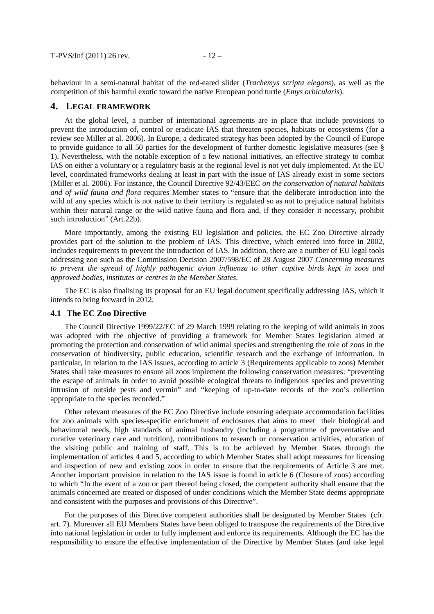behaviour in a semi-natural habitat of the red-eared slider (*Trachemys scripta elegans*), as well as the competition of this harmful exotic toward the native European pond turtle (*Emys orbicularis*).

#### **4. LEGAL FRAMEWORK**

At the global level, a number of international agreements are in place that include provisions to prevent the introduction of, control or eradicate IAS that threaten species, habitats or ecosystems (for a review see Miller at al. 2006). In Europe, a dedicated strategy has been adopted by the Council of Europe to provide guidance to all 50 parties for the development of further domestic legislative measures (see § 1). Nevertheless, with the notable exception of a few national initiatives, an effective strategy to combat IAS on either a voluntary or a regulatory basis at the regional level is not yet duly implemented. At the EU level, coordinated frameworks dealing at least in part with the issue of IAS already exist in some sectors (Miller et al. 2006). For instance, the Council Directive 92/43/EEC *on the conservation of natural habitats and of wild fauna and flora* requires Member states to "ensure that the deliberate introduction into the wild of any species which is not native to their territory is regulated so as not to prejudice natural habitats within their natural range or the wild native fauna and flora and, if they consider it necessary, prohibit such introduction" (Art.22b).

More importantly, among the existing EU legislation and policies, the EC Zoo Directive already provides part of the solution to the problem of IAS. This directive, which entered into force in 2002, includes requirements to prevent the introduction of IAS. In addition, there are a number of EU legal tools addressing zoo such as the Commission Decision 2007/598/EC of 28 August 2007 *Concerning measures to prevent the spread of highly pathogenic avian influenza to other captive birds kept in zoos and approved bodies, institutes or centres in the Member States*.

The EC is also finalising its proposal for an EU legal document specifically addressing IAS, which it intends to bring forward in 2012.

#### **4.1 The EC Zoo Directive**

The Council Directive 1999/22/EC of 29 March 1999 relating to the keeping of wild animals in zoos was adopted with the objective of providing a framework for Member States legislation aimed at promoting the protection and conservation of wild animal species and strengthening the role of zoos in the conservation of biodiversity, public education, scientific research and the exchange of information. In particular, in relation to the IAS issues, according to article 3 (Requirements applicable to zoos) Member States shall take measures to ensure all zoos implement the following conservation measures: "preventing the escape of animals in order to avoid possible ecological threats to indigenous species and preventing intrusion of outside pests and vermin" and "keeping of up-to-date records of the zoo's collection appropriate to the species recorded."

Other relevant measures of the EC Zoo Directive include ensuring adequate accommodation facilities for zoo animals with species-specific enrichment of enclosures that aims to meet their biological and behavioural needs, high standards of animal husbandry (including a programme of preventative and curative veterinary care and nutrition), contributions to research or conservation activities, education of the visiting public and training of staff. This is to be achieved by Member States through the implementation of articles 4 and 5, according to which Member States shall adopt measures for licensing and inspection of new and existing zoos in order to ensure that the requirements of Article 3 are met. Another important provision in relation to the IAS issue is found in article 6 (Closure of zoos) according to which "In the event of a zoo or part thereof being closed, the competent authority shall ensure that the animals concerned are treated or disposed of under conditions which the Member State deems appropriate and consistent with the purposes and provisions of this Directive".

For the purposes of this Directive competent authorities shall be designated by Member States (cfr. art. 7). Moreover all EU Members States have been obliged to transpose the requirements of the Directive into national legislation in order to fully implement and enforce its requirements. Although the EC has the responsibility to ensure the effective implementation of the Directive by Member States (and take legal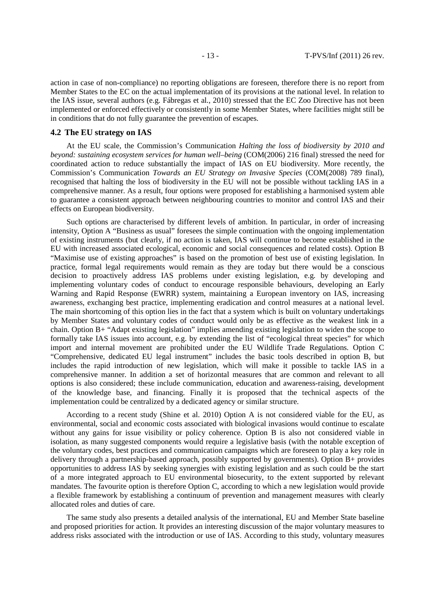action in case of non-compliance) no reporting obligations are foreseen, therefore there is no report from Member States to the EC on the actual implementation of its provisions at the national level. In relation to the IAS issue, several authors (e.g. Fábregas et al., 2010) stressed that the EC Zoo Directive has not been implemented or enforced effectively or consistently in some Member States, where facilities might still be in conditions that do not fully guarantee the prevention of escapes.

# **4.2 The EU strategy on IAS**

At the EU scale, the Commission's Communication *Halting the loss of biodiversity by 2010 and beyond: sustaining ecosystem services for human well–being* (COM(2006) 216 final) stressed the need for coordinated action to reduce substantially the impact of IAS on EU biodiversity. More recently, the Commission's Communication *Towards an EU Strategy on Invasive Species* (COM(2008) 789 final), recognised that halting the loss of biodiversity in the EU will not be possible without tackling IAS in a comprehensive manner. As a result, four options were proposed for establishing a harmonised system able to guarantee a consistent approach between neighbouring countries to monitor and control IAS and their effects on European biodiversity.

Such options are characterised by different levels of ambition. In particular, in order of increasing intensity, Option A "Business as usual" foresees the simple continuation with the ongoing implementation of existing instruments (but clearly, if no action is taken, IAS will continue to become established in the EU with increased associated ecological, economic and social consequences and related costs). Option B "Maximise use of existing approaches" is based on the promotion of best use of existing legislation. In practice, formal legal requirements would remain as they are today but there would be a conscious decision to proactively address IAS problems under existing legislation, e.g. by developing and implementing voluntary codes of conduct to encourage responsible behaviours, developing an Early Warning and Rapid Response (EWRR) system, maintaining a European inventory on IAS, increasing awareness, exchanging best practice, implementing eradication and control measures at a national level. The main shortcoming of this option lies in the fact that a system which is built on voluntary undertakings by Member States and voluntary codes of conduct would only be as effective as the weakest link in a chain. Option B+ "Adapt existing legislation" implies amending existing legislation to widen the scope to formally take IAS issues into account, e.g. by extending the list of "ecological threat species" for which import and internal movement are prohibited under the EU Wildlife Trade Regulations. Option C "Comprehensive, dedicated EU legal instrument" includes the basic tools described in option B, but includes the rapid introduction of new legislation, which will make it possible to tackle IAS in a comprehensive manner. In addition a set of horizontal measures that are common and relevant to all options is also considered; these include communication, education and awareness-raising, development of the knowledge base, and financing. Finally it is proposed that the technical aspects of the implementation could be centralized by a dedicated agency or similar structure.

According to a recent study (Shine et al. 2010) Option A is not considered viable for the EU, as environmental, social and economic costs associated with biological invasions would continue to escalate without any gains for issue visibility or policy coherence. Option B is also not considered viable in isolation, as many suggested components would require a legislative basis (with the notable exception of the voluntary codes, best practices and communication campaigns which are foreseen to play a key role in delivery through a partnership-based approach, possibly supported by governments). Option B+ provides opportunities to address IAS by seeking synergies with existing legislation and as such could be the start of a more integrated approach to EU environmental biosecurity, to the extent supported by relevant mandates. The favourite option is therefore Option C, according to which a new legislation would provide a flexible framework by establishing a continuum of prevention and management measures with clearly allocated roles and duties of care.

The same study also presents a detailed analysis of the international, EU and Member State baseline and proposed priorities for action. It provides an interesting discussion of the major voluntary measures to address risks associated with the introduction or use of IAS. According to this study, voluntary measures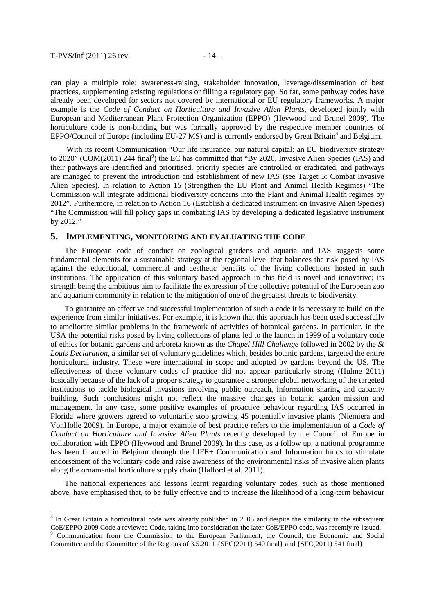can play a multiple role: awareness-raising, stakeholder innovation, leverage/dissemination of best practices, supplementing existing regulations or filling a regulatory gap. So far, some pathway codes have already been developed for sectors not covered by international or EU regulatory frameworks. A major example is the *Code of Conduct on Horticulture and Invasive Alien Plants*, developed jointly with European and Mediterranean Plant Protection Organization (EPPO) (Heywood and Brunel 2009). The horticulture code is non-binding but was formally approved by the respective member countries of EPPO/Council of Europe (including EU-27 MS) and is currently endorsed by Great Britain<sup>8</sup> and Belgium.

With its recent Communication "Our life insurance, our natural capital: an EU biodiversity strategy to 2020" (COM(2011) 244 final<sup>9</sup>) the EC has committed that "By 2020, Invasive Alien Species (IAS) and their pathways are identified and prioritised, priority species are controlled or eradicated, and pathways are managed to prevent the introduction and establishment of new IAS (see Target 5: Combat Invasive Alien Species). In relation to Action 15 (Strengthen the EU Plant and Animal Health Regimes) "The Commission will integrate additional biodiversity concerns into the Plant and Animal Health regimes by 2012". Furthermore, in relation to Action 16 (Establish a dedicated instrument on Invasive Alien Species) "The Commission will fill policy gaps in combating IAS by developing a dedicated legislative instrument by 2012."

#### **5. IMPLEMENTING, MONITORING AND EVALUATING THE CODE**

The European code of conduct on zoological gardens and aquaria and IAS suggests some fundamental elements for a sustainable strategy at the regional level that balances the risk posed by IAS against the educational, commercial and aesthetic benefits of the living collections hosted in such institutions. The application of this voluntary based approach in this field is novel and innovative; its strength being the ambitious aim to facilitate the expression of the collective potential of the European zoo and aquarium community in relation to the mitigation of one of the greatest threats to biodiversity.

To guarantee an effective and successful implementation of such a code it is necessary to build on the experience from similar initiatives. For example, it is known that this approach has been used successfully to ameliorate similar problems in the framework of activities of botanical gardens. In particular, in the USA the potential risks posed by living collections of plants led to the launch in 1999 of a voluntary code of ethics for botanic gardens and arboreta known as the *Chapel Hill Challenge* followed in 2002 by the *St Louis Declaration*, a similar set of voluntary guidelines which, besides botanic gardens, targeted the entire horticultural industry. These were international in scope and adopted by gardens beyond the US. The effectiveness of these voluntary codes of practice did not appear particularly strong (Hulme 2011) basically because of the lack of a proper strategy to guarantee a stronger global networking of the targeted institutions to tackle biological invasions involving public outreach, information sharing and capacity building. Such conclusions might not reflect the massive changes in botanic garden mission and management. In any case, some positive examples of proactive behaviour regarding IAS occurred in Florida where growers agreed to voluntarily stop growing 45 potentially invasive plants (Niemiera and VonHolle 2009). In Europe, a major example of best practice refers to the implementation of a *Code of Conduct on Horticulture and Invasive Alien Plants* recently developed by the Council of Europe in collaboration with EPPO (Heywood and Brunel 2009). In this case, as a follow up, a national programme has been financed in Belgium through the LIFE+ Communication and Information funds to stimulate endorsement of the voluntary code and raise awareness of the environmental risks of invasive alien plants along the ornamental horticulture supply chain (Halford et al. 2011).

The national experiences and lessons learnt regarding voluntary codes, such as those mentioned above, have emphasised that, to be fully effective and to increase the likelihood of a long-term behaviour

<sup>&</sup>lt;sup>8</sup> In Great Britain a horticultural code was already published in 2005 and despite the similarity in the subsequent CoE/EPPO 2009 Code a reviewed Code, taking into consideration the later CoE/EPPO code, was recently re-issued. 9 Communication from the Commission to the European Parliament, the Council, the Economic and Social

Committee and the Committee of the Regions of 3.5.2011 {SEC(2011) 540 final} and {SEC(2011) 541 final}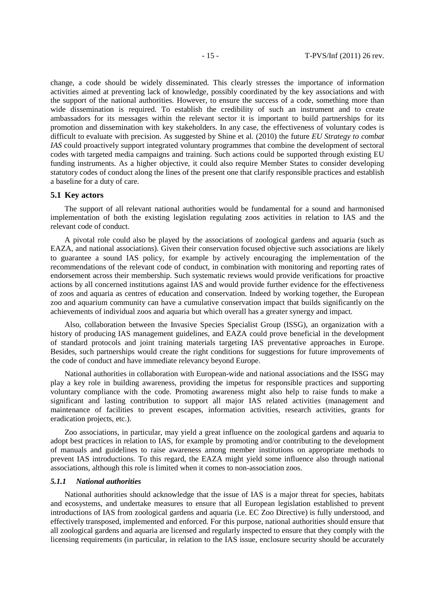change, a code should be widely disseminated. This clearly stresses the importance of information activities aimed at preventing lack of knowledge, possibly coordinated by the key associations and with the support of the national authorities. However, to ensure the success of a code, something more than wide dissemination is required. To establish the credibility of such an instrument and to create ambassadors for its messages within the relevant sector it is important to build partnerships for its promotion and dissemination with key stakeholders. In any case, the effectiveness of voluntary codes is difficult to evaluate with precision. As suggested by Shine et al. (2010) the future *EU Strategy to combat IAS* could proactively support integrated voluntary programmes that combine the development of sectoral codes with targeted media campaigns and training. Such actions could be supported through existing EU funding instruments. As a higher objective, it could also require Member States to consider developing statutory codes of conduct along the lines of the present one that clarify responsible practices and establish a baseline for a duty of care.

# **5.1 Key actors**

The support of all relevant national authorities would be fundamental for a sound and harmonised implementation of both the existing legislation regulating zoos activities in relation to IAS and the relevant code of conduct.

A pivotal role could also be played by the associations of zoological gardens and aquaria (such as EAZA, and national associations). Given their conservation focused objective such associations are likely to guarantee a sound IAS policy, for example by actively encouraging the implementation of the recommendations of the relevant code of conduct, in combination with monitoring and reporting rates of endorsement across their membership. Such systematic reviews would provide verifications for proactive actions by all concerned institutions against IAS and would provide further evidence for the effectiveness of zoos and aquaria as centres of education and conservation. Indeed by working together, the European zoo and aquarium community can have a cumulative conservation impact that builds significantly on the achievements of individual zoos and aquaria but which overall has a greater synergy and impact.

Also, collaboration between the Invasive Species Specialist Group (ISSG), an organization with a history of producing IAS management guidelines, and EAZA could prove beneficial in the development of standard protocols and joint training materials targeting IAS preventative approaches in Europe. Besides, such partnerships would create the right conditions for suggestions for future improvements of the code of conduct and have immediate relevancy beyond Europe.

National authorities in collaboration with European-wide and national associations and the ISSG may play a key role in building awareness, providing the impetus for responsible practices and supporting voluntary compliance with the code. Promoting awareness might also help to raise funds to make a significant and lasting contribution to support all major IAS related activities (management and maintenance of facilities to prevent escapes, information activities, research activities, grants for eradication projects, etc.).

Zoo associations, in particular, may yield a great influence on the zoological gardens and aquaria to adopt best practices in relation to IAS, for example by promoting and/or contributing to the development of manuals and guidelines to raise awareness among member institutions on appropriate methods to prevent IAS introductions. To this regard, the EAZA might yield some influence also through national associations, although this role is limited when it comes to non-association zoos.

#### *5.1.1 National authorities*

National authorities should acknowledge that the issue of IAS is a major threat for species, habitats and ecosystems, and undertake measures to ensure that all European legislation established to prevent introductions of IAS from zoological gardens and aquaria (i.e. EC Zoo Directive) is fully understood, and effectively transposed, implemented and enforced. For this purpose, national authorities should ensure that all zoological gardens and aquaria are licensed and regularly inspected to ensure that they comply with the licensing requirements (in particular, in relation to the IAS issue, enclosure security should be accurately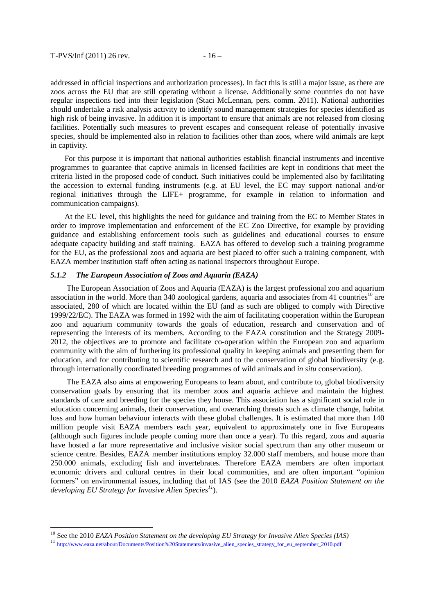-

addressed in official inspections and authorization processes). In fact this is still a major issue, as there are zoos across the EU that are still operating without a license. Additionally some countries do not have regular inspections tied into their legislation (Staci McLennan, pers. comm. 2011). National authorities should undertake a risk analysis activity to identify sound management strategies for species identified as high risk of being invasive. In addition it is important to ensure that animals are not released from closing facilities. Potentially such measures to prevent escapes and consequent release of potentially invasive species, should be implemented also in relation to facilities other than zoos, where wild animals are kept in captivity.

For this purpose it is important that national authorities establish financial instruments and incentive programmes to guarantee that captive animals in licensed facilities are kept in conditions that meet the criteria listed in the proposed code of conduct. Such initiatives could be implemented also by facilitating the accession to external funding instruments (e.g. at EU level, the EC may support national and/or regional initiatives through the LIFE+ programme, for example in relation to information and communication campaigns).

At the EU level, this highlights the need for guidance and training from the EC to Member States in order to improve implementation and enforcement of the EC Zoo Directive, for example by providing guidance and establishing enforcement tools such as guidelines and educational courses to ensure adequate capacity building and staff training. EAZA has offered to develop such a training programme for the EU, as the professional zoos and aquaria are best placed to offer such a training component, with EAZA member institution staff often acting as national inspectors throughout Europe.

# *5.1.2 The European Association of Zoos and Aquaria (EAZA)*

The European Association of Zoos and Aquaria (EAZA) is the largest professional zoo and aquarium association in the world. More than  $340$  zoological gardens, aquaria and associates from  $41$  countries<sup>10</sup> are associated, 280 of which are located within the EU (and as such are obliged to comply with Directive 1999/22/EC). The EAZA was formed in 1992 with the aim of facilitating cooperation within the European zoo and aquarium community towards the goals of education, research and conservation and of representing the interests of its members. According to the EAZA constitution and the Strategy 2009- 2012, the objectives are to promote and facilitate co-operation within the European zoo and aquarium community with the aim of furthering its professional quality in keeping animals and presenting them for education, and for contributing to scientific research and to the conservation of global biodiversity (e.g. through internationally coordinated breeding programmes of wild animals and *in situ* conservation).

The EAZA also aims at empowering Europeans to learn about, and contribute to, global biodiversity conservation goals by ensuring that its member zoos and aquaria achieve and maintain the highest standards of care and breeding for the species they house. This association has a significant social role in education concerning animals, their conservation, and overarching threats such as climate change, habitat loss and how human behaviour interacts with these global challenges. It is estimated that more than 140 million people visit EAZA members each year, equivalent to approximately one in five Europeans (although such figures include people coming more than once a year). To this regard, zoos and aquaria have hosted a far more representative and inclusive visitor social spectrum than any other museum or science centre. Besides, EAZA member institutions employ 32.000 staff members, and house more than 250.000 animals, excluding fish and invertebrates. Therefore EAZA members are often important economic drivers and cultural centres in their local communities, and are often important "opinion formers" on environmental issues, including that of IAS (see the 2010 *EAZA Position Statement on the developing EU Strategy for Invasive Alien Species<sup>11</sup>*).

<sup>10</sup> See the 2010 *EAZA Position Statement on the developing EU Strategy for Invasive Alien Species (IAS)*

<sup>11</sup> http://www.eaza.net/about/Documents/Position%20Statements/invasive\_alien\_species\_strategy\_for\_eu\_september\_2010.pdf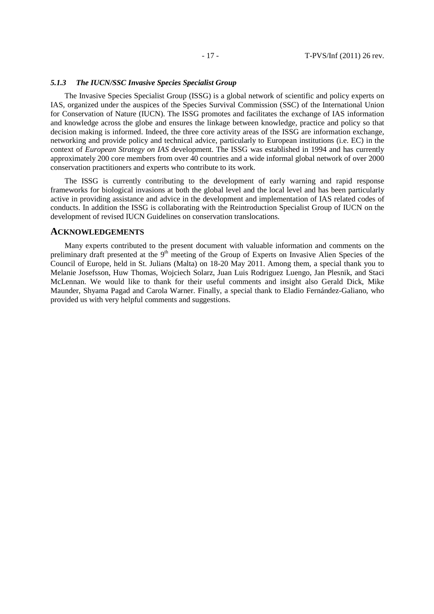#### *5.1.3 The IUCN/SSC Invasive Species Specialist Group*

The Invasive Species Specialist Group (ISSG) is a global network of scientific and policy experts on IAS, organized under the auspices of the Species Survival Commission (SSC) of the International Union for Conservation of Nature (IUCN). The ISSG promotes and facilitates the exchange of IAS information and knowledge across the globe and ensures the linkage between knowledge, practice and policy so that decision making is informed. Indeed, the three core activity areas of the ISSG are information exchange, networking and provide policy and technical advice, particularly to European institutions (i.e. EC) in the context of *European Strategy on IAS* development. The ISSG was established in 1994 and has currently approximately 200 core members from over 40 countries and a wide informal global network of over 2000 conservation practitioners and experts who contribute to its work.

The ISSG is currently contributing to the development of early warning and rapid response frameworks for biological invasions at both the global level and the local level and has been particularly active in providing assistance and advice in the development and implementation of IAS related codes of conducts. In addition the ISSG is collaborating with the Reintroduction Specialist Group of IUCN on the development of revised IUCN Guidelines on conservation translocations.

#### **ACKNOWLEDGEMENTS**

Many experts contributed to the present document with valuable information and comments on the preliminary draft presented at the 9<sup>th</sup> meeting of the Group of Experts on Invasive Alien Species of the Council of Europe, held in St. Julians (Malta) on 18-20 May 2011. Among them, a special thank you to Melanie Josefsson, Huw Thomas, Wojciech Solarz, Juan Luis Rodriguez Luengo, Jan Plesnik, and Staci McLennan. We would like to thank for their useful comments and insight also Gerald Dick, Mike Maunder, Shyama Pagad and Carola Warner. Finally, a special thank to Eladio Fernández-Galiano, who provided us with very helpful comments and suggestions.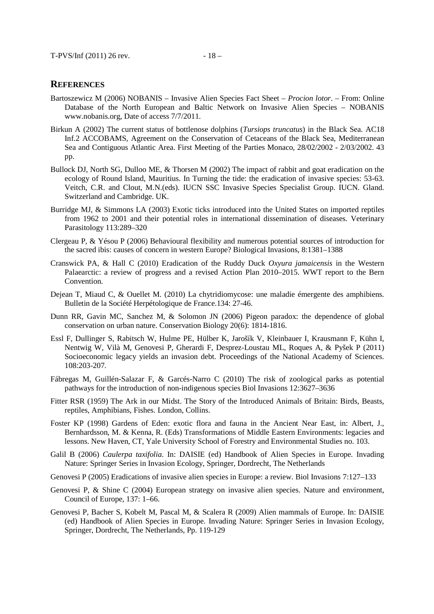# **REFERENCES**

- Bartoszewicz M (2006) NOBANIS Invasive Alien Species Fact Sheet *Procion lotor*. From: Online Database of the North European and Baltic Network on Invasive Alien Species – NOBANIS www.nobanis.org, Date of access 7/7/2011.
- Birkun A (2002) The current status of bottlenose dolphins (*Tursiops truncatus*) in the Black Sea. AC18 Inf.2 ACCOBAMS, Agreement on the Conservation of Cetaceans of the Black Sea, Mediterranean Sea and Contiguous Atlantic Area. First Meeting of the Parties Monaco, 28/02/2002 - 2/03/2002. 43 pp.
- Bullock DJ, North SG, Dulloo ME, & Thorsen M (2002) The impact of rabbit and goat eradication on the ecology of Round Island, Mauritius. In Turning the tide: the eradication of invasive species: 53-63. Veitch, C.R. and Clout, M.N.(eds). IUCN SSC Invasive Species Specialist Group. IUCN. Gland. Switzerland and Cambridge. UK.
- Burridge MJ, & Simmons LA (2003) Exotic ticks introduced into the United States on imported reptiles from 1962 to 2001 and their potential roles in international dissemination of diseases. Veterinary Parasitology 113:289–320
- Clergeau P, & Yésou P (2006) Behavioural flexibility and numerous potential sources of introduction for the sacred ibis: causes of concern in western Europe? Biological Invasions, 8:1381–1388
- Cranswick PA, & Hall C (2010) Eradication of the Ruddy Duck *Oxyura jamaicensis* in the Western Palaearctic: a review of progress and a revised Action Plan 2010–2015. WWT report to the Bern Convention.
- Dejean T, Miaud C, & Ouellet M. (2010) La chytridiomycose: une maladie émergente des amphibiens. Bulletin de la Société Herpétologique de France.134: 27-46.
- Dunn RR, Gavin MC, Sanchez M, & Solomon JN (2006) Pigeon paradox: the dependence of global conservation on urban nature. Conservation Biology 20(6): 1814-1816.
- Essl F, Dullinger S, Rabitsch W, Hulme PE, Hülber K, Jarošík V, Kleinbauer I, Krausmann F, Kühn I, Nentwig W, Vilà M, Genovesi P, Gherardi F, Desprez-Loustau ML, Roques A, & Pyšek P (2011) Socioeconomic legacy yields an invasion debt. Proceedings of the National Academy of Sciences. 108:203-207.
- Fábregas M, Guillén-Salazar F, & Garcés-Narro C (2010) The risk of zoological parks as potential pathways for the introduction of non-indigenous species Biol Invasions 12:3627–3636
- Fitter RSR (1959) The Ark in our Midst. The Story of the Introduced Animals of Britain: Birds, Beasts, reptiles, Amphibians, Fishes. London, Collins.
- Foster KP (1998) Gardens of Eden: exotic flora and fauna in the Ancient Near East, in: Albert, J., Bernhardsson, M. & Kenna, R. (Eds) Transformations of Middle Eastern Environments: legacies and lessons. New Haven, CT, Yale University School of Forestry and Environmental Studies no. 103.
- Galil B (2006) *Caulerpa taxifolia*. In: DAISIE (ed) Handbook of Alien Species in Europe. Invading Nature: Springer Series in Invasion Ecology, Springer, Dordrecht, The Netherlands
- Genovesi P (2005) Eradications of invasive alien species in Europe: a review. Biol Invasions 7:127–133
- Genovesi P, & Shine C (2004) European strategy on invasive alien species. Nature and environment, Council of Europe, 137: 1–66.
- Genovesi P, Bacher S, Kobelt M, Pascal M, & Scalera R (2009) Alien mammals of Europe. In: DAISIE (ed) Handbook of Alien Species in Europe. Invading Nature: Springer Series in Invasion Ecology, Springer, Dordrecht, The Netherlands, Pp. 119-129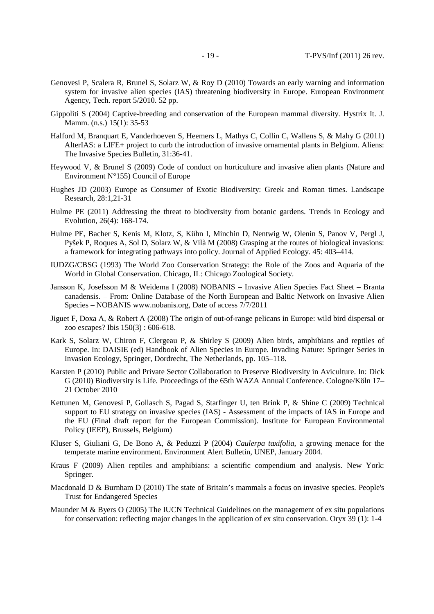- Genovesi P, Scalera R, Brunel S, Solarz W, & Roy D (2010) Towards an early warning and information system for invasive alien species (IAS) threatening biodiversity in Europe. European Environment Agency, Tech. report 5/2010. 52 pp.
- Gippoliti S (2004) Captive-breeding and conservation of the European mammal diversity. Hystrix It. J. Mamm. (n.s.) 15(1): 35-53
- Halford M, Branquart E, Vanderhoeven S, Heemers L, Mathys C, Collin C, Wallens S, & Mahy G (2011) AlterIAS: a LIFE+ project to curb the introduction of invasive ornamental plants in Belgium. Aliens: The Invasive Species Bulletin, 31:36-41.
- Heywood V, & Brunel S (2009) Code of conduct on horticulture and invasive alien plants (Nature and Environment N°155) Council of Europe
- Hughes JD (2003) Europe as Consumer of Exotic Biodiversity: Greek and Roman times. Landscape Research, 28:1,21-31
- Hulme PE (2011) Addressing the threat to biodiversity from botanic gardens. Trends in Ecology and Evolution, 26(4): 168-174.
- Hulme PE, Bacher S, Kenis M, Klotz, S, Kühn I, Minchin D, Nentwig W, Olenin S, Panov V, Pergl J, Pyšek P, Roques A, Sol D, Solarz W, & Vilà M (2008) Grasping at the routes of biological invasions: a framework for integrating pathways into policy. Journal of Applied Ecology. 45: 403–414.
- IUDZG/CBSG (1993) The World Zoo Conservation Strategy: the Role of the Zoos and Aquaria of the World in Global Conservation. Chicago, IL: Chicago Zoological Society.
- Jansson K, Josefsson M & Weidema I (2008) NOBANIS Invasive Alien Species Fact Sheet Branta canadensis. – From: Online Database of the North European and Baltic Network on Invasive Alien Species – NOBANIS www.nobanis.org, Date of access 7/7/2011
- Jiguet F, Doxa A, & Robert A (2008) The origin of out-of-range pelicans in Europe: wild bird dispersal or zoo escapes? Ibis 150(3) : 606-618.
- Kark S, Solarz W, Chiron F, Clergeau P, & Shirley S (2009) Alien birds, amphibians and reptiles of Europe. In: DAISIE (ed) Handbook of Alien Species in Europe. Invading Nature: Springer Series in Invasion Ecology, Springer, Dordrecht, The Netherlands, pp. 105–118.
- Karsten P (2010) Public and Private Sector Collaboration to Preserve Biodiversity in Aviculture. In: Dick G (2010) Biodiversity is Life. Proceedings of the 65th WAZA Annual Conference. Cologne/Köln 17– 21 October 2010
- Kettunen M, Genovesi P, Gollasch S, Pagad S, Starfinger U, ten Brink P, & Shine C (2009) Technical support to EU strategy on invasive species (IAS) - Assessment of the impacts of IAS in Europe and the EU (Final draft report for the European Commission). Institute for European Environmental Policy (IEEP), Brussels, Belgium)
- Kluser S, Giuliani G, De Bono A, & Peduzzi P (2004) *Caulerpa taxifolia*, a growing menace for the temperate marine environment. Environment Alert Bulletin, UNEP, January 2004.
- Kraus F (2009) Alien reptiles and amphibians: a scientific compendium and analysis. New York: Springer.
- Macdonald D & Burnham D (2010) The state of Britain's mammals a focus on invasive species. People's Trust for Endangered Species
- Maunder M & Byers O (2005) The IUCN Technical Guidelines on the management of ex situ populations for conservation: reflecting major changes in the application of ex situ conservation. Oryx 39 (1): 1-4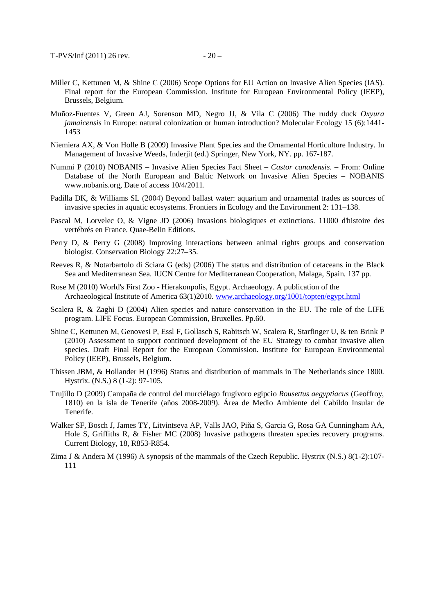- Miller C, Kettunen M, & Shine C (2006) Scope Options for EU Action on Invasive Alien Species (IAS). Final report for the European Commission. Institute for European Environmental Policy (IEEP), Brussels, Belgium.
- Muñoz-Fuentes V, Green AJ, Sorenson MD, Negro JJ, & Vila C (2006) The ruddy duck *Oxyura jamaicensis* in Europe: natural colonization or human introduction? Molecular Ecology 15 (6):1441-1453
- Niemiera AX, & Von Holle B (2009) Invasive Plant Species and the Ornamental Horticulture Industry. In Management of Invasive Weeds, Inderjit (ed.) Springer, New York, NY. pp. 167-187.
- Nummi P (2010) NOBANIS Invasive Alien Species Fact Sheet *Castor canadensis*. From: Online Database of the North European and Baltic Network on Invasive Alien Species – NOBANIS www.nobanis.org, Date of access 10/4/2011.
- Padilla DK, & Williams SL (2004) Beyond ballast water: aquarium and ornamental trades as sources of invasive species in aquatic ecosystems. Frontiers in Ecology and the Environment 2: 131–138.
- Pascal M, Lorvelec O, & Vigne JD (2006) Invasions biologiques et extinctions. 11000 d'histoire des vertébrés en France. Quae-Belin Editions.
- Perry D, & Perry G (2008) Improving interactions between animal rights groups and conservation biologist. Conservation Biology 22:27–35.
- Reeves R, & Notarbartolo di Sciara G (eds) (2006) The status and distribution of cetaceans in the Black Sea and Mediterranean Sea. IUCN Centre for Mediterranean Cooperation, Malaga, Spain. 137 pp.
- Rose M (2010) World's First Zoo Hierakonpolis, Egypt. Archaeology. A publication of the Archaeological Institute of America 63(1)2010. www.archaeology.org/1001/topten/egypt.html
- Scalera R, & Zaghi D (2004) Alien species and nature conservation in the EU. The role of the LIFE program. LIFE Focus. European Commission, Bruxelles. Pp.60.
- Shine C, Kettunen M, Genovesi P, Essl F, Gollasch S, Rabitsch W, Scalera R, Starfinger U, & ten Brink P (2010) Assessment to support continued development of the EU Strategy to combat invasive alien species. Draft Final Report for the European Commission. Institute for European Environmental Policy (IEEP), Brussels, Belgium.
- Thissen JBM, & Hollander H (1996) Status and distribution of mammals in The Netherlands since 1800. Hystrix. (N.S.) 8 (1-2): 97-105.
- Trujillo D (2009) Campaña de control del murciélago frugívoro egipcio *Rousettus aegyptiacus* (Geoffroy, 1810) en la isla de Tenerife (años 2008-2009). Área de Medio Ambiente del Cabildo Insular de Tenerife.
- Walker SF, Bosch J, James TY, Litvintseva AP, Valls JAO, Piña S, Garcia G, Rosa GA Cunningham AA, Hole S, Griffiths R, & Fisher MC (2008) Invasive pathogens threaten species recovery programs. Current Biology, 18, R853-R854.
- Zima J & Andera M (1996) A synopsis of the mammals of the Czech Republic. Hystrix (N.S.) 8(1-2):107- 111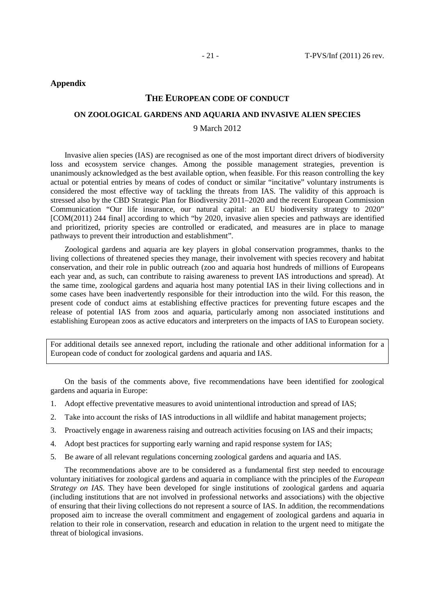# **Appendix**

# **THE EUROPEAN CODE OF CONDUCT**

#### **ON ZOOLOGICAL GARDENS AND AQUARIA AND INVASIVE ALIEN SPECIES**

9 March 2012

Invasive alien species (IAS) are recognised as one of the most important direct drivers of biodiversity loss and ecosystem service changes. Among the possible management strategies, prevention is unanimously acknowledged as the best available option, when feasible. For this reason controlling the key actual or potential entries by means of codes of conduct or similar "incitative" voluntary instruments is considered the most effective way of tackling the threats from IAS. The validity of this approach is stressed also by the CBD Strategic Plan for Biodiversity 2011–2020 and the recent European Commission Communication "Our life insurance, our natural capital: an EU biodiversity strategy to 2020" [COM(2011) 244 final] according to which "by 2020, invasive alien species and pathways are identified and prioritized, priority species are controlled or eradicated, and measures are in place to manage pathways to prevent their introduction and establishment".

Zoological gardens and aquaria are key players in global conservation programmes, thanks to the living collections of threatened species they manage, their involvement with species recovery and habitat conservation, and their role in public outreach (zoo and aquaria host hundreds of millions of Europeans each year and, as such, can contribute to raising awareness to prevent IAS introductions and spread). At the same time, zoological gardens and aquaria host many potential IAS in their living collections and in some cases have been inadvertently responsible for their introduction into the wild. For this reason, the present code of conduct aims at establishing effective practices for preventing future escapes and the release of potential IAS from zoos and aquaria, particularly among non associated institutions and establishing European zoos as active educators and interpreters on the impacts of IAS to European society.

For additional details see annexed report, including the rationale and other additional information for a European code of conduct for zoological gardens and aquaria and IAS.

On the basis of the comments above, five recommendations have been identified for zoological gardens and aquaria in Europe:

- 1. Adopt effective preventative measures to avoid unintentional introduction and spread of IAS;
- 2. Take into account the risks of IAS introductions in all wildlife and habitat management projects;
- 3. Proactively engage in awareness raising and outreach activities focusing on IAS and their impacts;
- 4. Adopt best practices for supporting early warning and rapid response system for IAS;
- 5. Be aware of all relevant regulations concerning zoological gardens and aquaria and IAS.

The recommendations above are to be considered as a fundamental first step needed to encourage voluntary initiatives for zoological gardens and aquaria in compliance with the principles of the *European Strategy on IAS*. They have been developed for single institutions of zoological gardens and aquaria (including institutions that are not involved in professional networks and associations) with the objective of ensuring that their living collections do not represent a source of IAS. In addition, the recommendations proposed aim to increase the overall commitment and engagement of zoological gardens and aquaria in relation to their role in conservation, research and education in relation to the urgent need to mitigate the threat of biological invasions.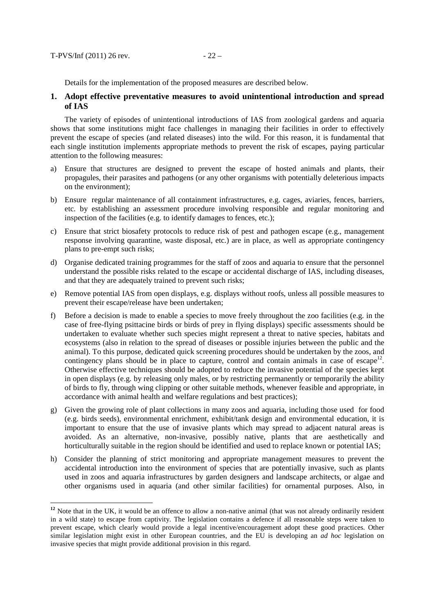-

Details for the implementation of the proposed measures are described below.

# **1. Adopt effective preventative measures to avoid unintentional introduction and spread of IAS**

The variety of episodes of unintentional introductions of IAS from zoological gardens and aquaria shows that some institutions might face challenges in managing their facilities in order to effectively prevent the escape of species (and related diseases) into the wild. For this reason, it is fundamental that each single institution implements appropriate methods to prevent the risk of escapes, paying particular attention to the following measures:

- a) Ensure that structures are designed to prevent the escape of hosted animals and plants, their propagules, their parasites and pathogens (or any other organisms with potentially deleterious impacts on the environment);
- b) Ensure regular maintenance of all containment infrastructures, e.g. cages, aviaries, fences, barriers, etc. by establishing an assessment procedure involving responsible and regular monitoring and inspection of the facilities (e.g. to identify damages to fences, etc.);
- c) Ensure that strict biosafety protocols to reduce risk of pest and pathogen escape (e.g., management response involving quarantine, waste disposal, etc.) are in place, as well as appropriate contingency plans to pre-empt such risks;
- d) Organise dedicated training programmes for the staff of zoos and aquaria to ensure that the personnel understand the possible risks related to the escape or accidental discharge of IAS, including diseases, and that they are adequately trained to prevent such risks;
- e) Remove potential IAS from open displays, e.g. displays without roofs, unless all possible measures to prevent their escape/release have been undertaken;
- f) Before a decision is made to enable a species to move freely throughout the zoo facilities (e.g. in the case of free-flying psittacine birds or birds of prey in flying displays) specific assessments should be undertaken to evaluate whether such species might represent a threat to native species, habitats and ecosystems (also in relation to the spread of diseases or possible injuries between the public and the animal). To this purpose, dedicated quick screening procedures should be undertaken by the zoos, and contingency plans should be in place to capture, control and contain animals in case of escape<sup>12</sup>. Otherwise effective techniques should be adopted to reduce the invasive potential of the species kept in open displays (e.g. by releasing only males, or by restricting permanently or temporarily the ability of birds to fly, through wing clipping or other suitable methods, whenever feasible and appropriate, in accordance with animal health and welfare regulations and best practices);
- g) Given the growing role of plant collections in many zoos and aquaria, including those used for food (e.g. birds seeds), environmental enrichment, exhibit/tank design and environmental education, it is important to ensure that the use of invasive plants which may spread to adjacent natural areas is avoided. As an alternative, non-invasive, possibly native, plants that are aesthetically and horticulturally suitable in the region should be identified and used to replace known or potential IAS;
- h) Consider the planning of strict monitoring and appropriate management measures to prevent the accidental introduction into the environment of species that are potentially invasive, such as plants used in zoos and aquaria infrastructures by garden designers and landscape architects, or algae and other organisms used in aquaria (and other similar facilities) for ornamental purposes. Also, in

<sup>&</sup>lt;sup>12</sup> Note that in the UK, it would be an offence to allow a non-native animal (that was not already ordinarily resident in a wild state) to escape from captivity. The legislation contains a defence if all reasonable steps were taken to prevent escape, which clearly would provide a legal incentive/encouragement adopt these good practices. Other similar legislation might exist in other European countries, and the EU is developing an *ad hoc* legislation on invasive species that might provide additional provision in this regard.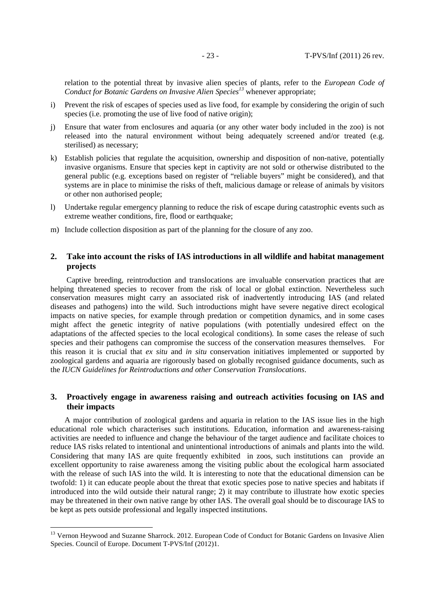relation to the potential threat by invasive alien species of plants, refer to the *European Code of Conduct for Botanic Gardens on Invasive Alien Species <sup>13</sup>* whenever appropriate;

- i) Prevent the risk of escapes of species used as live food, for example by considering the origin of such species (i.e. promoting the use of live food of native origin);
- j) Ensure that water from enclosures and aquaria (or any other water body included in the zoo) is not released into the natural environment without being adequately screened and/or treated (e.g. sterilised) as necessary;
- k) Establish policies that regulate the acquisition, ownership and disposition of non-native, potentially invasive organisms. Ensure that species kept in captivity are not sold or otherwise distributed to the general public (e.g. exceptions based on register of "reliable buyers" might be considered), and that systems are in place to minimise the risks of theft, malicious damage or release of animals by visitors or other non authorised people;
- l) Undertake regular emergency planning to reduce the risk of escape during catastrophic events such as extreme weather conditions, fire, flood or earthquake;
- m) Include collection disposition as part of the planning for the closure of any zoo.

# **2. Take into account the risks of IAS introductions in all wildlife and habitat management projects**

Captive breeding, reintroduction and translocations are invaluable conservation practices that are helping threatened species to recover from the risk of local or global extinction. Nevertheless such conservation measures might carry an associated risk of inadvertently introducing IAS (and related diseases and pathogens) into the wild. Such introductions might have severe negative direct ecological impacts on native species, for example through predation or competition dynamics, and in some cases might affect the genetic integrity of native populations (with potentially undesired effect on the adaptations of the affected species to the local ecological conditions). In some cases the release of such species and their pathogens can compromise the success of the conservation measures themselves. For this reason it is crucial that *ex situ* and *in situ* conservation initiatives implemented or supported by zoological gardens and aquaria are rigorously based on globally recognised guidance documents, such as the *IUCN Guidelines for Reintroductions and other Conservation Translocations*.

# **3. Proactively engage in awareness raising and outreach activities focusing on IAS and their impacts**

A major contribution of zoological gardens and aquaria in relation to the IAS issue lies in the high educational role which characterises such institutions. Education, information and awareness-raising activities are needed to influence and change the behaviour of the target audience and facilitate choices to reduce IAS risks related to intentional and unintentional introductions of animals and plants into the wild. Considering that many IAS are quite frequently exhibited in zoos, such institutions can provide an excellent opportunity to raise awareness among the visiting public about the ecological harm associated with the release of such IAS into the wild. It is interesting to note that the educational dimension can be twofold: 1) it can educate people about the threat that exotic species pose to native species and habitats if introduced into the wild outside their natural range; 2) it may contribute to illustrate how exotic species may be threatened in their own native range by other IAS. The overall goal should be to discourage IAS to be kept as pets outside professional and legally inspected institutions.

-

<sup>&</sup>lt;sup>13</sup> Vernon Heywood and Suzanne Sharrock. 2012. European Code of Conduct for Botanic Gardens on Invasive Alien Species. Council of Europe. Document T-PVS/Inf (2012)1.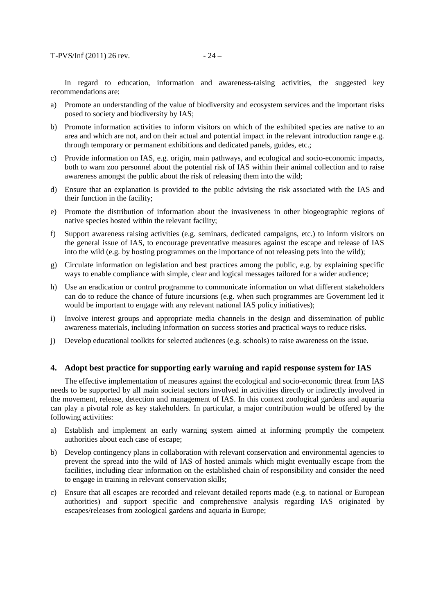In regard to education, information and awareness-raising activities, the suggested key recommendations are:

- a) Promote an understanding of the value of biodiversity and ecosystem services and the important risks posed to society and biodiversity by IAS;
- b) Promote information activities to inform visitors on which of the exhibited species are native to an area and which are not, and on their actual and potential impact in the relevant introduction range e.g. through temporary or permanent exhibitions and dedicated panels, guides, etc.;
- c) Provide information on IAS, e.g. origin, main pathways, and ecological and socio-economic impacts, both to warn zoo personnel about the potential risk of IAS within their animal collection and to raise awareness amongst the public about the risk of releasing them into the wild;
- d) Ensure that an explanation is provided to the public advising the risk associated with the IAS and their function in the facility;
- e) Promote the distribution of information about the invasiveness in other biogeographic regions of native species hosted within the relevant facility;
- f) Support awareness raising activities (e.g. seminars, dedicated campaigns, etc.) to inform visitors on the general issue of IAS, to encourage preventative measures against the escape and release of IAS into the wild (e.g. by hosting programmes on the importance of not releasing pets into the wild);
- g) Circulate information on legislation and best practices among the public, e.g. by explaining specific ways to enable compliance with simple, clear and logical messages tailored for a wider audience;
- h) Use an eradication or control programme to communicate information on what different stakeholders can do to reduce the chance of future incursions (e.g. when such programmes are Government led it would be important to engage with any relevant national IAS policy initiatives);
- i) Involve interest groups and appropriate media channels in the design and dissemination of public awareness materials, including information on success stories and practical ways to reduce risks.
- j) Develop educational toolkits for selected audiences (e.g. schools) to raise awareness on the issue.

# **4. Adopt best practice for supporting early warning and rapid response system for IAS**

The effective implementation of measures against the ecological and socio-economic threat from IAS needs to be supported by all main societal sectors involved in activities directly or indirectly involved in the movement, release, detection and management of IAS. In this context zoological gardens and aquaria can play a pivotal role as key stakeholders. In particular, a major contribution would be offered by the following activities:

- a) Establish and implement an early warning system aimed at informing promptly the competent authorities about each case of escape;
- b) Develop contingency plans in collaboration with relevant conservation and environmental agencies to prevent the spread into the wild of IAS of hosted animals which might eventually escape from the facilities, including clear information on the established chain of responsibility and consider the need to engage in training in relevant conservation skills;
- c) Ensure that all escapes are recorded and relevant detailed reports made (e.g. to national or European authorities) and support specific and comprehensive analysis regarding IAS originated by escapes/releases from zoological gardens and aquaria in Europe;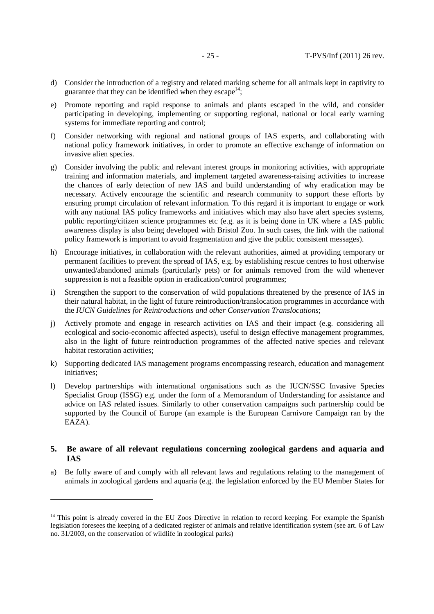- d) Consider the introduction of a registry and related marking scheme for all animals kept in captivity to guarantee that they can be identified when they escape<sup>14</sup>;
- e) Promote reporting and rapid response to animals and plants escaped in the wild, and consider participating in developing, implementing or supporting regional, national or local early warning systems for immediate reporting and control;
- f) Consider networking with regional and national groups of IAS experts, and collaborating with national policy framework initiatives, in order to promote an effective exchange of information on invasive alien species.
- g) Consider involving the public and relevant interest groups in monitoring activities, with appropriate training and information materials, and implement targeted awareness-raising activities to increase the chances of early detection of new IAS and build understanding of why eradication may be necessary. Actively encourage the scientific and research community to support these efforts by ensuring prompt circulation of relevant information. To this regard it is important to engage or work with any national IAS policy frameworks and initiatives which may also have alert species systems, public reporting/citizen science programmes etc (e.g. as it is being done in UK where a IAS public awareness display is also being developed with Bristol Zoo. In such cases, the link with the national policy framework is important to avoid fragmentation and give the public consistent messages).
- h) Encourage initiatives, in collaboration with the relevant authorities, aimed at providing temporary or permanent facilities to prevent the spread of IAS, e.g. by establishing rescue centres to host otherwise unwanted/abandoned animals (particularly pets) or for animals removed from the wild whenever suppression is not a feasible option in eradication/control programmes;
- i) Strengthen the support to the conservation of wild populations threatened by the presence of IAS in their natural habitat, in the light of future reintroduction/translocation programmes in accordance with the *IUCN Guidelines for Reintroductions and other Conservation Translocations*;
- j) Actively promote and engage in research activities on IAS and their impact (e.g. considering all ecological and socio-economic affected aspects), useful to design effective management programmes, also in the light of future reintroduction programmes of the affected native species and relevant habitat restoration activities;
- k) Supporting dedicated IAS management programs encompassing research, education and management initiatives;
- l) Develop partnerships with international organisations such as the IUCN/SSC Invasive Species Specialist Group (ISSG) e.g. under the form of a Memorandum of Understanding for assistance and advice on IAS related issues. Similarly to other conservation campaigns such partnership could be supported by the Council of Europe (an example is the European Carnivore Campaign ran by the EAZA).

# **5. Be aware of all relevant regulations concerning zoological gardens and aquaria and IAS**

a) Be fully aware of and comply with all relevant laws and regulations relating to the management of animals in zoological gardens and aquaria (e.g. the legislation enforced by the EU Member States for

-

 $14$  This point is already covered in the EU Zoos Directive in relation to record keeping. For example the Spanish legislation foresees the keeping of a dedicated register of animals and relative identification system (see art. 6 of Law no. 31/2003, on the conservation of wildlife in zoological parks)